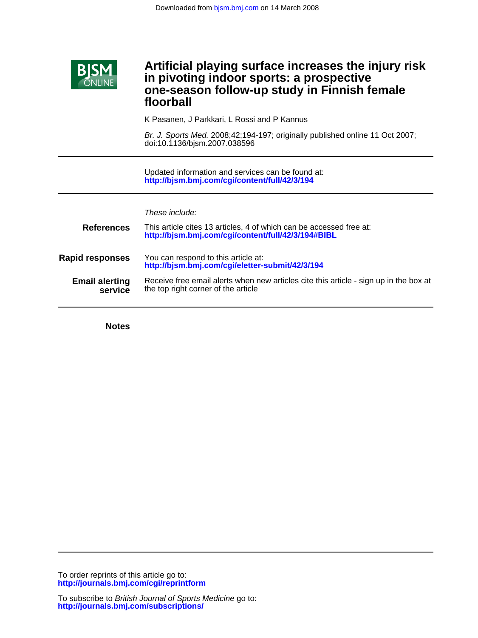

# **floorball one-season follow-up study in Finnish female in pivoting indoor sports: a prospective Artificial playing surface increases the injury risk**

K Pasanen, J Parkkari, L Rossi and P Kannus

doi:10.1136/bjsm.2007.038596 Br. J. Sports Med. 2008;42;194-197; originally published online 11 Oct 2007;

**<http://bjsm.bmj.com/cgi/content/full/42/3/194>** Updated information and services can be found at:

|                                  | These include:                                                                                                               |
|----------------------------------|------------------------------------------------------------------------------------------------------------------------------|
| <b>References</b>                | This article cites 13 articles, 4 of which can be accessed free at:<br>http://bjsm.bmj.com/cgi/content/full/42/3/194#BIBL    |
| <b>Rapid responses</b>           | You can respond to this article at:<br>http://bjsm.bmj.com/cgi/eletter-submit/42/3/194                                       |
| <b>Email alerting</b><br>service | Receive free email alerts when new articles cite this article - sign up in the box at<br>the top right corner of the article |

**Notes**

**<http://journals.bmj.com/cgi/reprintform>** To order reprints of this article go to:

**<http://journals.bmj.com/subscriptions/>** To subscribe to British Journal of Sports Medicine go to: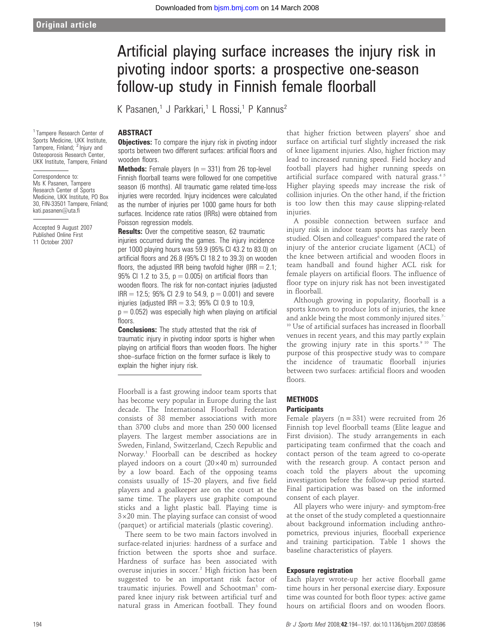<sup>1</sup> Tampere Research Center of Sports Medicine, UKK Institute, Tampere, Finland; <sup>2</sup> Injury and Osteoporosis Research Center, UKK Institute, Tampere, Finland

Correspondence to: Ms K Pasanen, Tampere Research Center of Sports Medicine, UKK Institute, PO Box 30, FIN-33501 Tampere, Finland; kati.pasanen@uta.fi

Accepted 9 August 2007 Published Online First 11 October 2007

# Artificial playing surface increases the injury risk in pivoting indoor sports: a prospective one-season follow-up study in Finnish female floorball

K Pasanen,<sup>1</sup> J Parkkari,<sup>1</sup> L Rossi,<sup>1</sup> P Kannus<sup>2</sup>

# ABSTRACT

**Objectives:** To compare the injury risk in pivoting indoor sports between two different surfaces: artificial floors and wooden floors.

**Methods:** Female players ( $n = 331$ ) from 26 top-level Finnish floorball teams were followed for one competitive season (6 months). All traumatic game related time-loss injuries were recorded. Injury incidences were calculated as the number of injuries per 1000 game hours for both surfaces. Incidence rate ratios (IRRs) were obtained from Poisson regression models.

**Results:** Over the competitive season, 62 traumatic injuries occurred during the games. The injury incidence per 1000 playing hours was 59.9 (95% CI 43.2 to 83.0) on artificial floors and 26.8 (95% CI 18.2 to 39.3) on wooden floors, the adjusted IRR being twofold higher (IRR  $= 2.1$ ; 95% CI 1.2 to 3.5,  $p = 0.005$ ) on artificial floors than wooden floors. The risk for non-contact injuries (adjusted  $IRR = 12.5$ ; 95% CI 2.9 to 54.9,  $p = 0.001$ ) and severe injuries (adjusted IRR  $=$  3.3; 95% CI 0.9 to 10.9,  $p = 0.052$ ) was especially high when playing on artificial floors.

**Conclusions:** The study attested that the risk of traumatic injury in pivoting indoor sports is higher when playing on artificial floors than wooden floors. The higher shoe–surface friction on the former surface is likely to explain the higher injury risk.

Floorball is a fast growing indoor team sports that has become very popular in Europe during the last decade. The International Floorball Federation consists of 38 member associations with more than 3700 clubs and more than 250 000 licensed players. The largest member associations are in Sweden, Finland, Switzerland, Czech Republic and Norway.1 Floorball can be described as hockey played indoors on a court  $(20\times40 \text{ m})$  surrounded by a low board. Each of the opposing teams consists usually of 15–20 players, and five field players and a goalkeeper are on the court at the same time. The players use graphite compound sticks and a light plastic ball. Playing time is  $3\times20$  min. The playing surface can consist of wood (parquet) or artificial materials (plastic covering).

There seem to be two main factors involved in surface-related injuries: hardness of a surface and friction between the sports shoe and surface. Hardness of surface has been associated with overuse injuries in soccer.<sup>2</sup> High friction has been suggested to be an important risk factor of traumatic injuries. Powell and Schootman<sup>3</sup> compared knee injury risk between artificial turf and natural grass in American football. They found

that higher friction between players' shoe and surface on artificial turf slightly increased the risk of knee ligament injuries. Also, higher friction may lead to increased running speed. Field hockey and football players had higher running speeds on artificial surface compared with natural grass.<sup>45</sup> Higher playing speeds may increase the risk of collision injuries. On the other hand, if the friction is too low then this may cause slipping-related injuries.

A possible connection between surface and injury risk in indoor team sports has rarely been studied. Olsen and colleagues<sup>6</sup> compared the rate of injury of the anterior cruciate ligament (ACL) of the knee between artificial and wooden floors in team handball and found higher ACL risk for female players on artificial floors. The influence of floor type on injury risk has not been investigated in floorball.

Although growing in popularity, floorball is a sports known to produce lots of injuries, the knee and ankle being the most commonly injured sites.<sup>7-</sup> <sup>10</sup> Use of artificial surfaces has increased in floorball venues in recent years, and this may partly explain the growing injury rate in this sports.<sup>9 10</sup> The purpose of this prospective study was to compare the incidence of traumatic floorball injuries between two surfaces: artificial floors and wooden floors

# METHODS

#### **Participants**

Female players ( $n = 331$ ) were recruited from 26 Finnish top level floorball teams (Elite league and First division). The study arrangements in each participating team confirmed that the coach and contact person of the team agreed to co-operate with the research group. A contact person and coach told the players about the upcoming investigation before the follow-up period started. Final participation was based on the informed consent of each player.

All players who were injury- and symptom-free at the onset of the study completed a questionnaire about background information including anthropometrics, previous injuries, floorball experience and training participation. Table 1 shows the baseline characteristics of players.

# Exposure registration

Each player wrote-up her active floorball game time hours in her personal exercise diary. Exposure time was counted for both floor types: active game hours on artificial floors and on wooden floors.

194 Br J Sports Med 2008;42:194–197. doi:10.1136/bjsm.2007.038596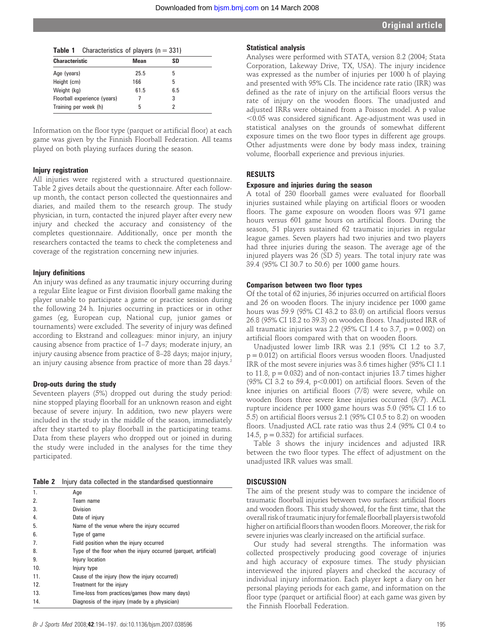| <b>Table 1</b> Characteristics of players $(n = 331)$ |      |     |  |
|-------------------------------------------------------|------|-----|--|
| <b>Characteristic</b>                                 | Mean | SD  |  |
| Age (years)                                           | 25.5 | 5   |  |
| Height (cm)                                           | 166  | 5   |  |
| Weight (kg)                                           | 61.5 | 6.5 |  |
| Floorball experience (years)                          |      | 3   |  |
| Training per week (h)                                 | 5    |     |  |

Information on the floor type (parquet or artificial floor) at each game was given by the Finnish Floorball Federation. All teams played on both playing surfaces during the season.

# Injury registration

All injuries were registered with a structured questionnaire. Table 2 gives details about the questionnaire. After each followup month, the contact person collected the questionnaires and diaries, and mailed them to the research group. The study physician, in turn, contacted the injured player after every new injury and checked the accuracy and consistency of the completes questionnaire. Additionally, once per month the researchers contacted the teams to check the completeness and coverage of the registration concerning new injuries.

#### Injury definitions

An injury was defined as any traumatic injury occurring during a regular Elite league or First division floorball game making the player unable to participate a game or practice session during the following 24 h. Injuries occurring in practices or in other games (eg, European cup, National cup, junior games or tournaments) were excluded. The severity of injury was defined according to Ekstrand and colleagues: minor injury, an injury causing absence from practice of 1–7 days; moderate injury, an injury causing absence from practice of 8–28 days; major injury, an injury causing absence from practice of more than 28 days.<sup>2</sup>

### Drop-outs during the study

Seventeen players (5%) dropped out during the study period: nine stopped playing floorball for an unknown reason and eight because of severe injury. In addition, two new players were included in the study in the middle of the season, immediately after they started to play floorball in the participating teams. Data from these players who dropped out or joined in during the study were included in the analyses for the time they participated.

|  |  |  |  |  |  |  | Table 2 Injury data collected in the standardised questionnaire |
|--|--|--|--|--|--|--|-----------------------------------------------------------------|
|--|--|--|--|--|--|--|-----------------------------------------------------------------|

| 1.  | Age                                                              |
|-----|------------------------------------------------------------------|
| 2.  | Team name                                                        |
| 3.  | <b>Division</b>                                                  |
| 4.  | Date of injury                                                   |
| 5.  | Name of the venue where the injury occurred                      |
| 6.  | Type of game                                                     |
| 7.  | Field position when the injury occurred                          |
| 8.  | Type of the floor when the injury occurred (parquet, artificial) |
| 9.  | Injury location                                                  |
| 10. | Injury type                                                      |
| 11. | Cause of the injury (how the injury occurred)                    |
| 12. | Treatment for the injury                                         |
| 13. | Time-loss from practices/games (how many days)                   |
| 14. | Diagnosis of the injury (made by a physician)                    |
|     |                                                                  |

#### Statistical analysis

Analyses were performed with STATA, version 8.2 (2004; Stata Corporation, Lakeway Drive, TX, USA). The injury incidence was expressed as the number of injuries per 1000 h of playing and presented with 95% CIs. The incidence rate ratio (IRR) was defined as the rate of injury on the artificial floors versus the rate of injury on the wooden floors. The unadjusted and adjusted IRRs were obtained from a Poisson model. A p value  $<$ 0.05 was considered significant. Age-adjustment was used in statistical analyses on the grounds of somewhat different exposure times on the two floor types in different age groups. Other adjustments were done by body mass index, training volume, floorball experience and previous injuries.

# RESULTS

#### Exposure and injuries during the season

A total of 230 floorball games were evaluated for floorball injuries sustained while playing on artificial floors or wooden floors. The game exposure on wooden floors was 971 game hours versus 601 game hours on artificial floors. During the season, 51 players sustained 62 traumatic injuries in regular league games. Seven players had two injuries and two players had three injuries during the season. The average age of the injured players was 26 (SD 5) years. The total injury rate was 39.4 (95% CI 30.7 to 50.6) per 1000 game hours.

#### Comparison between two floor types

Of the total of 62 injuries, 36 injuries occurred on artificial floors and 26 on wooden floors. The injury incidence per 1000 game hours was 59.9 (95% CI 43.2 to 83.0) on artificial floors versus 26.8 (95% CI 18.2 to 39.3) on wooden floors. Unadjusted IRR of all traumatic injuries was 2.2 (95% CI 1.4 to 3.7,  $p = 0.002$ ) on artificial floors compared with that on wooden floors.

Unadjusted lower limb IRR was 2.1 (95% CI 1.2 to 3.7,  $p = 0.012$ ) on artificial floors versus wooden floors. Unadjusted IRR of the most severe injuries was 3.6 times higher (95% CI 1.1 to 11.8,  $p = 0.032$ ) and of non-contact injuries 13.7 times higher  $(95\% \text{ CI } 3.2 \text{ to } 59.4, \text{ p} < 0.001)$  on artificial floors. Seven of the knee injuries on artificial floors (7/8) were severe, while on wooden floors three severe knee injuries occurred (3/7). ACL rupture incidence per 1000 game hours was 5.0 (95% CI 1.6 to 5.5) on artificial floors versus 2.1 (95% CI 0.5 to 8.2) on wooden floors. Unadjusted ACL rate ratio was thus 2.4 (95% CI 0.4 to 14.5,  $p = 0.332$ ) for artificial surfaces.

Table 3 shows the injury incidences and adjusted IRR between the two floor types. The effect of adjustment on the unadjusted IRR values was small.

#### **DISCUSSION**

The aim of the present study was to compare the incidence of traumatic floorball injuries between two surfaces: artificial floors and wooden floors. This study showed, for the first time, that the overall risk of traumatic injury for female floorball players is twofold higher on artificial floors than wooden floors. Moreover, the risk for severe injuries was clearly increased on the artificial surface.

Our study had several strengths. The information was collected prospectively producing good coverage of injuries and high accuracy of exposure times. The study physician interviewed the injured players and checked the accuracy of individual injury information. Each player kept a diary on her personal playing periods for each game, and information on the floor type (parquet or artificial floor) at each game was given by the Finnish Floorball Federation.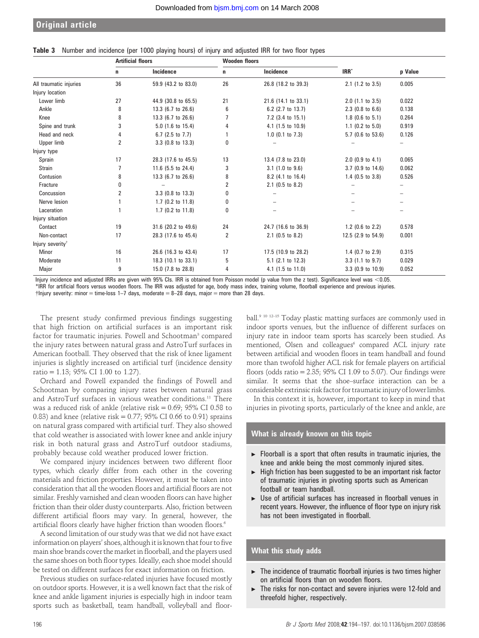|  |  | Table 3 Number and incidence (per 1000 playing hours) of injury and adjusted IRR for two floor types |  |  |  |  |  |  |  |  |  |  |  |
|--|--|------------------------------------------------------------------------------------------------------|--|--|--|--|--|--|--|--|--|--|--|
|--|--|------------------------------------------------------------------------------------------------------|--|--|--|--|--|--|--|--|--|--|--|

|                              | <b>Artificial floors</b>         |                               | <b>Wooden floors</b> |                              |                             |       |  |
|------------------------------|----------------------------------|-------------------------------|----------------------|------------------------------|-----------------------------|-------|--|
|                              | Incidence<br>Incidence<br>n<br>n |                               |                      | IRR <sup>*</sup>             | p Value                     |       |  |
| All traumatic injuries       | 36                               | 59.9 (43.2 to 83.0)           | 26                   | 26.8 (18.2 to 39.3)          | $2.1$ (1.2 to 3.5)          | 0.005 |  |
| Injury location              |                                  |                               |                      |                              |                             |       |  |
| Lower limb                   | 27                               | 44.9 (30.8 to 65.5)           | 21                   | 21.6 (14.1 to 33.1)          | $2.0$ (1.1 to $3.5$ )       | 0.022 |  |
| Ankle                        | 8                                | 13.3 (6.7 to 26.6)            | 6                    | 6.2 $(2.7 \text{ to } 13.7)$ | $2.3$ (0.8 to 6.6)          | 0.138 |  |
| Knee                         | 8                                | 13.3 (6.7 to 26.6)            | 7                    | $7.2$ (3.4 to 15.1)          | $1.8$ (0.6 to 5.1)          | 0.264 |  |
| Spine and trunk              | 3                                | $5.0$ (1.6 to 15.4)           | 4                    | $4.1$ (1.5 to 10.9)          | 1.1 $(0.2 \text{ to } 5.0)$ | 0.919 |  |
| Head and neck                | 4                                | 6.7 (2.5 to 7.7)              |                      | $1.0$ (0.1 to $7.3$ )        | 5.7 (0.6 to 53.6)           | 0.126 |  |
| Upper limb                   | 2                                | 3.3 (0.8 to 13.3)             | 0                    |                              |                             |       |  |
| Injury type                  |                                  |                               |                      |                              |                             |       |  |
| Sprain                       | 17                               | 28.3 (17.6 to 45.5)           | 13                   | 13.4 (7.8 to 23.0)           | $2.0$ (0.9 to 4.1)          | 0.065 |  |
| <b>Strain</b>                |                                  | 11.6 $(5.5 \text{ to } 24.4)$ | 3                    | $3.1$ (1.0 to 9.6)           | $3.7$ (0.9 to 14.6)         | 0.062 |  |
| Contusion                    | 8                                | 13.3 (6.7 to 26.6)            | 8                    | 8.2 (4.1 to 16.4)            | 1.4 (0.5 to 3.8)            | 0.526 |  |
| Fracture                     | 0                                |                               | 2                    | $2.1$ (0.5 to 8.2)           |                             |       |  |
| Concussion                   | 2                                | $3.3$ (0.8 to 13.3)           | 0                    |                              |                             |       |  |
| Nerve lesion                 |                                  | $1.7$ (0.2 to $11.8$ )        | 0                    |                              |                             |       |  |
| Laceration                   |                                  | $1.7$ (0.2 to $11.8$ )        | 0                    |                              |                             |       |  |
| Injury situation             |                                  |                               |                      |                              |                             |       |  |
| Contact                      | 19                               | 31.6 (20.2 to 49.6)           | 24                   | 24.7 (16.6 to 36.9)          | 1.2 (0.6 to 2.2)            | 0.578 |  |
| Non-contact                  | 17                               | 28.3 (17.6 to 45.4)           | 2                    | 2.1 (0.5 to 8.2)             | 12.5 (2.9 to 54.9)          | 0.001 |  |
| Injury severity <sup>†</sup> |                                  |                               |                      |                              |                             |       |  |
| <b>Minor</b>                 | 16                               | 26.6 (16.3 to 43.4)           | 17                   | 17.5 (10.9 to 28.2)          | 1.4 $(0.7 \text{ to } 2.9)$ | 0.315 |  |
| Moderate                     | 11                               | 18.3 (10.1 to 33.1)           | 5                    | $5.1$ (2.1 to 12.3)          | $3.3$ (1.1 to 9.7)          | 0.029 |  |
| Major                        | 9                                | 15.0 (7.8 to 28.8)            | 4                    | $4.1$ (1.5 to 11.0)          | $3.3$ (0.9 to 10.9)         | 0.052 |  |

Injury incidence and adjusted IRRs are given with 95% CIs. IRR is obtained from Poisson model (p value from the z test). Significance level was <0.05. \*IRR for artificial floors versus wooden floors. The IRR was adjusted for age, body mass index, training volume, floorball experience and previous injuries.

 $\dagger$ Injury severity: minor = time-loss 1–7 days, moderate = 8–28 days, major = more than 28 days.

The present study confirmed previous findings suggesting that high friction on artificial surfaces is an important risk factor for traumatic injuries. Powell and Schootman<sup>3</sup> compared the injury rates between natural grass and AstroTurf surfaces in American football. They observed that the risk of knee ligament injuries is slightly increased on artificial turf (incidence density ratio = 1.13; 95% CI 1.00 to 1.27).

Orchard and Powell expanded the findings of Powell and Schootman by comparing injury rates between natural grass and AstroTurf surfaces in various weather conditions.<sup>11</sup> There was a reduced risk of ankle (relative risk = 0.69; 95% CI 0.58 to 0.83) and knee (relative risk =  $0.77$ ;  $95\%$  CI 0.66 to 0.91) sprains on natural grass compared with artificial turf. They also showed that cold weather is associated with lower knee and ankle injury risk in both natural grass and AstroTurf outdoor stadiums, probably because cold weather produced lower friction.

We compared injury incidences between two different floor types, which clearly differ from each other in the covering materials and friction properties. However, it must be taken into consideration that all the wooden floors and artificial floors are not similar. Freshly varnished and clean wooden floors can have higher friction than their older dusty counterparts. Also, friction between different artificial floors may vary. In general, however, the artificial floors clearly have higher friction than wooden floors.<sup>6</sup>

A second limitation of our study was that we did not have exact information on players' shoes, although it is known that four to five main shoe brands cover the market in floorball, and the players used the same shoes on both floor types. Ideally, each shoe model should be tested on different surfaces for exact information on friction.

Previous studies on surface-related injuries have focused mostly on outdoor sports. However, it is a well known fact that the risk of knee and ankle ligament injuries is especially high in indoor team sports such as basketball, team handball, volleyball and floor-

ball.<sup>9 10 12-15</sup> Today plastic matting surfaces are commonly used in indoor sports venues, but the influence of different surfaces on injury rate in indoor team sports has scarcely been studied. As mentioned, Olsen and colleagues<sup>6</sup> compared ACL injury rate between artificial and wooden floors in team handball and found more than twofold higher ACL risk for female players on artificial floors (odds ratio =  $2.35$ ;  $95\%$  CI 1.09 to 5.07). Our findings were similar. It seems that the shoe–surface interaction can be a considerable extrinsic risk factor for traumatic injury of lowerlimbs.

In this context it is, however, important to keep in mind that injuries in pivoting sports, particularly of the knee and ankle, are

# What is already known on this topic

- $\blacktriangleright$  Floorball is a sport that often results in traumatic injuries, the knee and ankle being the most commonly injured sites.
- High friction has been suggested to be an important risk factor of traumatic injuries in pivoting sports such as American football or team handball.
- $\triangleright$  Use of artificial surfaces has increased in floorball venues in recent years. However, the influence of floor type on injury risk has not been investigated in floorball.

# What this study adds

- $\blacktriangleright$  The incidence of traumatic floorball injuries is two times higher on artificial floors than on wooden floors.
- $\triangleright$  The risks for non-contact and severe injuries were 12-fold and threefold higher, respectively.